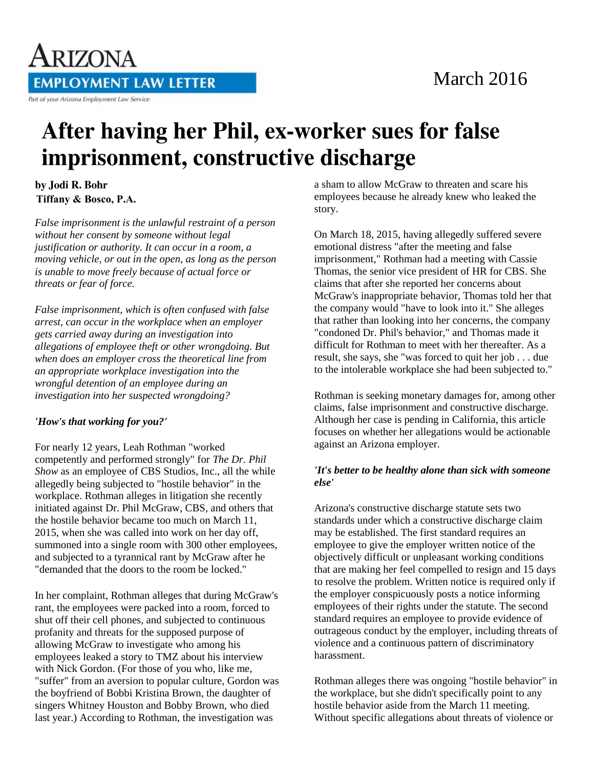

# March 2016

# After having her Phil, ex-worker sues for false imprisonment, constructive discharge

## by Jodi R. Bohr **Tiffany & Bosco, P.A.**

*False imprisonment is the unlawful restraint of a person without her consent by someone without legal justification or authority. It can occur in a room, a moving vehicle, or out in the open, as long as the person is unable to move freely because of actual force or threats or fear of force.*

*False imprisonment, which is often confused with false arrest, can occur in the workplace when an employer gets carried away during an investigation into allegations of employee theft or other wrongdoing. But when does an employer cross the theoretical line from an appropriate workplace investigation into the wrongful detention of an employee during an investigation into her suspected wrongdoing?*

### *'How's that working for you?'*

For nearly 12 years, Leah Rothman "worked competently and performed strongly" for *The Dr. Phil Show* as an employee of CBS Studios, Inc., all the while allegedly being subjected to "hostile behavior" in the workplace. Rothman alleges in litigation she recently initiated against Dr. Phil McGraw, CBS, and others that the hostile behavior became too much on March 11, 2015, when she was called into work on her day off, summoned into a single room with 300 other employees, and subjected to a tyrannical rant by McGraw after he "demanded that the doors to the room be locked."

In her complaint, Rothman alleges that during McGraw's rant, the employees were packed into a room, forced to shut off their cell phones, and subjected to continuous profanity and threats for the supposed purpose of allowing McGraw to investigate who among his employees leaked a story to TMZ about his interview with Nick Gordon. (For those of you who, like me, "suffer" from an aversion to popular culture, Gordon was the boyfriend of Bobbi Kristina Brown, the daughter of singers Whitney Houston and Bobby Brown, who died last year.) According to Rothman, the investigation was

a sham to allow McGraw to threaten and scare his employees because he already knew who leaked the story.

On March 18, 2015, having allegedly suffered severe emotional distress "after the meeting and false imprisonment," Rothman had a meeting with Cassie Thomas, the senior vice president of HR for CBS. She claims that after she reported her concerns about McGraw's inappropriate behavior, Thomas told her that the company would "have to look into it." She alleges that rather than looking into her concerns, the company "condoned Dr. Phil's behavior," and Thomas made it difficult for Rothman to meet with her thereafter. As a result, she says, she "was forced to quit her job . . . due to the intolerable workplace she had been subjected to."

Rothman is seeking monetary damages for, among other claims, false imprisonment and constructive discharge. Although her case is pending in California, this article focuses on whether her allegations would be actionable against an Arizona employer.

#### *'It's better to be healthy alone than sick with someone else'*

Arizona's constructive discharge statute sets two standards under which a constructive discharge claim may be established. The first standard requires an employee to give the employer written notice of the objectively difficult or unpleasant working conditions that are making her feel compelled to resign and 15 days to resolve the problem. Written notice is required only if the employer conspicuously posts a notice informing employees of their rights under the statute. The second standard requires an employee to provide evidence of outrageous conduct by the employer, including threats of violence and a continuous pattern of discriminatory harassment.

Rothman alleges there was ongoing "hostile behavior" in the workplace, but she didn't specifically point to any hostile behavior aside from the March 11 meeting. Without specific allegations about threats of violence or